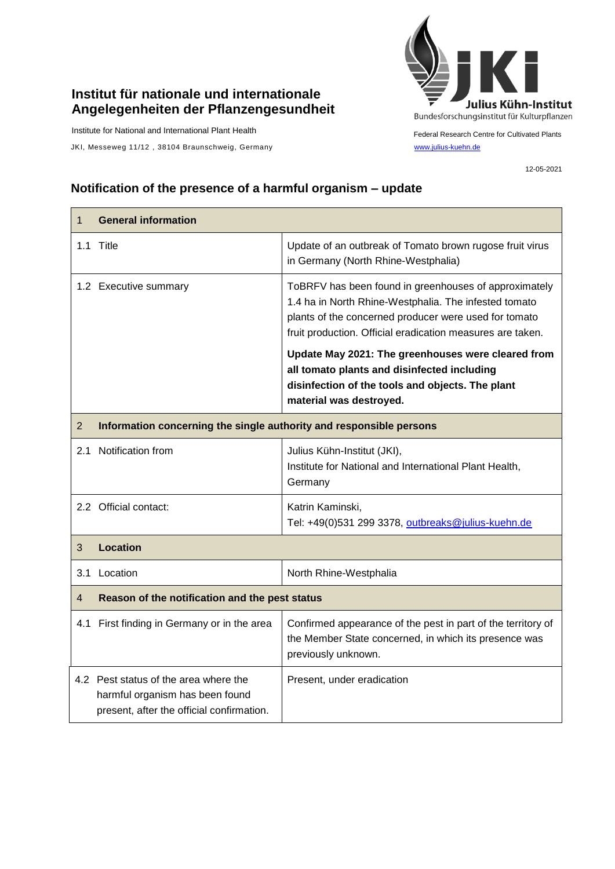## **Institut für nationale und internationale Angelegenheiten der Pflanzengesundheit**

Institute for National and International Plant Health

JKI, Messeweg 11/12, 38104 Braunschweig, Germany [www.julius-kuehn.de](http://www.julius-kuehn.de/)



Federal Research Centre for Cultivated Plants

12-05-2021

## **Notification of the presence of a harmful organism – update**

| $\mathbf 1$    | <b>General information</b>                                                                                            |                                                                                                                                                                                                                                                                                                                                                                                                                           |  |
|----------------|-----------------------------------------------------------------------------------------------------------------------|---------------------------------------------------------------------------------------------------------------------------------------------------------------------------------------------------------------------------------------------------------------------------------------------------------------------------------------------------------------------------------------------------------------------------|--|
|                | 1.1 Title                                                                                                             | Update of an outbreak of Tomato brown rugose fruit virus<br>in Germany (North Rhine-Westphalia)                                                                                                                                                                                                                                                                                                                           |  |
|                | 1.2 Executive summary                                                                                                 | ToBRFV has been found in greenhouses of approximately<br>1.4 ha in North Rhine-Westphalia. The infested tomato<br>plants of the concerned producer were used for tomato<br>fruit production. Official eradication measures are taken.<br>Update May 2021: The greenhouses were cleared from<br>all tomato plants and disinfected including<br>disinfection of the tools and objects. The plant<br>material was destroyed. |  |
| $\overline{2}$ | Information concerning the single authority and responsible persons                                                   |                                                                                                                                                                                                                                                                                                                                                                                                                           |  |
| 2.1            | Notification from                                                                                                     | Julius Kühn-Institut (JKI),<br>Institute for National and International Plant Health,<br>Germany                                                                                                                                                                                                                                                                                                                          |  |
|                | 2.2 Official contact:                                                                                                 | Katrin Kaminski,<br>Tel: +49(0)531 299 3378, outbreaks@julius-kuehn.de                                                                                                                                                                                                                                                                                                                                                    |  |
| 3              | <b>Location</b>                                                                                                       |                                                                                                                                                                                                                                                                                                                                                                                                                           |  |
|                | 3.1 Location                                                                                                          | North Rhine-Westphalia                                                                                                                                                                                                                                                                                                                                                                                                    |  |
| 4              | Reason of the notification and the pest status                                                                        |                                                                                                                                                                                                                                                                                                                                                                                                                           |  |
|                | 4.1 First finding in Germany or in the area                                                                           | Confirmed appearance of the pest in part of the territory of<br>the Member State concerned, in which its presence was<br>previously unknown.                                                                                                                                                                                                                                                                              |  |
|                | 4.2 Pest status of the area where the<br>harmful organism has been found<br>present, after the official confirmation. | Present, under eradication                                                                                                                                                                                                                                                                                                                                                                                                |  |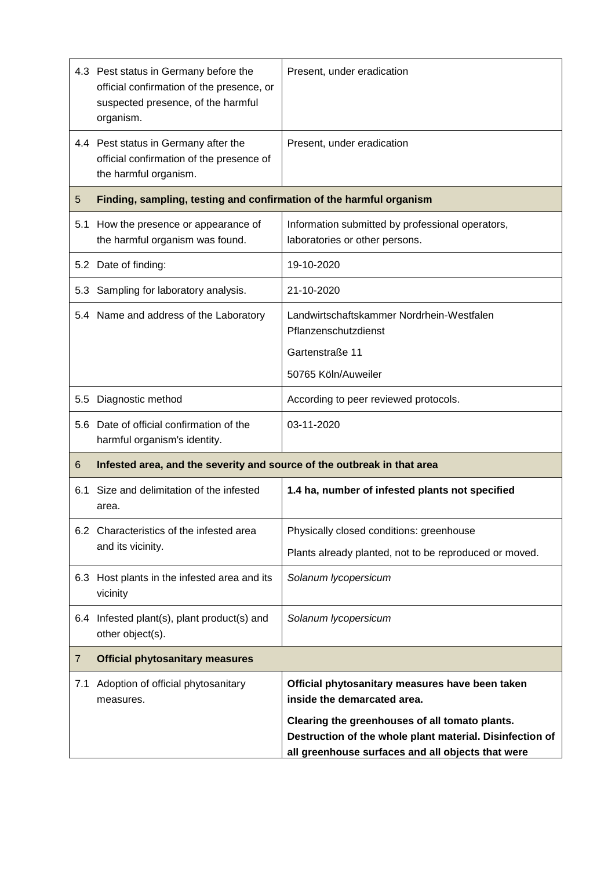|                | 4.3 Pest status in Germany before the<br>official confirmation of the presence, or<br>suspected presence, of the harmful<br>organism. | Present, under eradication                                                                                                                                      |
|----------------|---------------------------------------------------------------------------------------------------------------------------------------|-----------------------------------------------------------------------------------------------------------------------------------------------------------------|
|                | 4.4 Pest status in Germany after the<br>official confirmation of the presence of<br>the harmful organism.                             | Present, under eradication                                                                                                                                      |
| 5              | Finding, sampling, testing and confirmation of the harmful organism                                                                   |                                                                                                                                                                 |
| 5.1            | How the presence or appearance of<br>the harmful organism was found.                                                                  | Information submitted by professional operators,<br>laboratories or other persons.                                                                              |
|                | 5.2 Date of finding:                                                                                                                  | 19-10-2020                                                                                                                                                      |
|                | 5.3 Sampling for laboratory analysis.                                                                                                 | 21-10-2020                                                                                                                                                      |
|                | 5.4 Name and address of the Laboratory                                                                                                | Landwirtschaftskammer Nordrhein-Westfalen<br>Pflanzenschutzdienst                                                                                               |
|                |                                                                                                                                       | Gartenstraße 11                                                                                                                                                 |
|                |                                                                                                                                       | 50765 Köln/Auweiler                                                                                                                                             |
| $5.5^{\circ}$  | Diagnostic method                                                                                                                     | According to peer reviewed protocols.                                                                                                                           |
|                | 5.6 Date of official confirmation of the<br>harmful organism's identity.                                                              | 03-11-2020                                                                                                                                                      |
| 6              | Infested area, and the severity and source of the outbreak in that area                                                               |                                                                                                                                                                 |
| 6.1            | Size and delimitation of the infested<br>area.                                                                                        | 1.4 ha, number of infested plants not specified                                                                                                                 |
|                | 6.2 Characteristics of the infested area<br>and its vicinity.                                                                         | Physically closed conditions: greenhouse                                                                                                                        |
|                |                                                                                                                                       | Plants already planted, not to be reproduced or moved.                                                                                                          |
|                | 6.3 Host plants in the infested area and its<br>vicinity                                                                              | Solanum lycopersicum                                                                                                                                            |
|                | 6.4 Infested plant(s), plant product(s) and<br>other object(s).                                                                       | Solanum lycopersicum                                                                                                                                            |
| $\overline{7}$ | <b>Official phytosanitary measures</b>                                                                                                |                                                                                                                                                                 |
| 7.1            | Adoption of official phytosanitary<br>measures.                                                                                       | Official phytosanitary measures have been taken<br>inside the demarcated area.                                                                                  |
|                |                                                                                                                                       | Clearing the greenhouses of all tomato plants.<br>Destruction of the whole plant material. Disinfection of<br>all greenhouse surfaces and all objects that were |